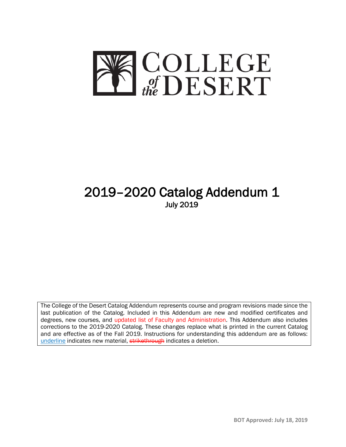

# 2019–2020 Catalog Addendum 1 July 2019

The College of the Desert Catalog Addendum represents course and program revisions made since the last publication of the Catalog. Included in this Addendum are new and modified certificates and degrees, new courses, and updated list of Faculty and Administration. This Addendum also includes corrections to the 2019-2020 Catalog. These changes replace what is printed in the current Catalog and are effective as of the Fall 2019. Instructions for understanding this addendum are as follows: underline indicates new material, strikethrough indicates a deletion.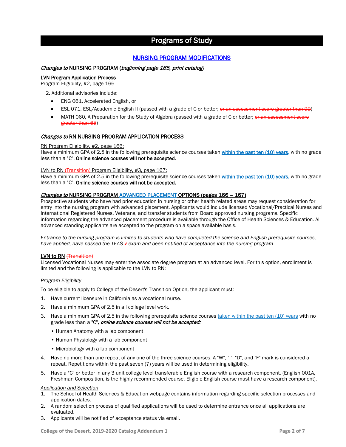### Programs of Study

### NURSING PROGRAM MODIFICATIONS

### Changes to NURSING PROGRAM (beginning page 165, print catalog)

### LVN Program Application Process

Program Eligibility, #2, page 166

2. Additional advisories include:

- ENG 061, Accelerated English, or
- ESL 071, ESL/Academic English II (passed with a grade of C or better; or an assessment score greater than 99)
- MATH 060, A Preparation for the Study of Algebra (passed with a grade of C or better; or an assessment score greater than 65)

### Changes to RN NURSING PROGRAM APPLICATION PROCESS

### RN Program Eligibility, #2, page 166:

Have a minimum GPA of 2.5 in the following prerequisite science courses taken within the past ten (10) years, with no grade less than a "C". Online science courses will not be accepted.

### LVN to RN (Transition) Program Eligibility, #3, page 167:

Have a minimum GPA of 2.5 in the following prerequisite science courses taken within the past ten (10) years, with no grade less than a "C". Online science courses will not be accepted.

### Changes to NURSING PROGRAM ADVANCED PLACEMENT OPTIONS (pages 166 – 167)

Prospective students who have had prior education in nursing or other health related areas may request consideration for entry into the nursing program with advanced placement. Applicants would include licensed Vocational/Practical Nurses and International Registered Nurses, Veterans, and transfer students from Board approved nursing programs. Specific information regarding the advanced placement procedure is available through the Office of Health Sciences & Education. All advanced standing applicants are accepted to the program on a space available basis.

*Entrance to the nursing program is limited to students who have completed the science and English prerequisite courses, have applied, have passed the TEAS V exam and been notified of acceptance into the nursing program.*

### LVN to RN (Transition)

Licensed Vocational Nurses may enter the associate degree program at an advanced level. For this option, enrollment is limited and the following is applicable to the LVN to RN:

### *Program Eligibility*

To be eligible to apply to College of the Desert's Transition Option, the applicant must:

- 1. Have current licensure in California as a vocational nurse.
- 2. Have a minimum GPA of 2.5 in all college level work.
- 3. Have a minimum GPA of 2.5 in the following prerequisite science courses taken within the past ten (10) years with no grade less than a "C", online science courses will not be accepted:
	- Human Anatomy with a lab component
	- Human Physiology with a lab component
	- Microbiology with a lab component
- 4. Have no more than one repeat of any one of the three science courses. A "W", "I", "D", and "F" mark is considered a repeat. Repetitions within the past seven (7) years will be used in determining eligibility.
- 5. Have a "C" or better in any 3 unit college level transferable English course with a research component. (English 001A, Freshman Composition, is the highly recommended course. Eligible English course must have a research component).

### *Application and Selection*

- 1. The School of Health Sciences & Education webpage contains information regarding specific selection processes and application dates.
- 2. A random selection process of qualified applications will be used to determine entrance once all applications are evaluated.
- 3. Applicants will be notified of acceptance status via email.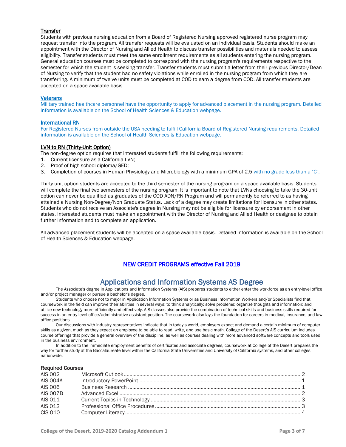### **Transfer**

Students with previous nursing education from a Board of Registered Nursing approved registered nurse program may request transfer into the program. All transfer requests will be evaluated on an individual basis. Students should make an appointment with the Director of Nursing and Allied Health to discuss transfer possibilities and materials needed to assess eligibility. Transfer students must meet the same enrollment requirements as all students entering the nursing program. General education courses must be completed to correspond with the nursing program's requirements respective to the semester for which the student is seeking transfer. Transfer students must submit a letter from their previous Director/Dean of Nursing to verify that the student had no safety violations while enrolled in the nursing program from which they are transferring. A minimum of twelve units must be completed at COD to earn a degree from COD. All transfer students are accepted on a space available basis.

### **Veterans**

Military trained healthcare personnel have the opportunity to apply for advanced placement in the nursing program. Detailed information is available on the School of Health Sciences & Education webpage.

### International RN

For Registered Nurses from outside the USA needing to fulfill California Board of Registered Nursing requirements. Detailed information is available on the School of Health Sciences & Education webpage.

### LVN to RN (Thirty-Unit Option)

The non-degree option requires that interested students fulfill the following requirements:

- 1. Current licensure as a California LVN;
- 2. Proof of high school diploma/GED;
- 3. Completion of courses in Human Physiology and Microbiology with a minimum GPA of 2.5 with no grade less than a "C".

Thirty-unit option students are accepted to the third semester of the nursing program on a space available basis. Students will complete the final two semesters of the nursing program. It is important to note that LVNs choosing to take the 30-unit option can never be qualified as graduates of the COD ADN/RN Program and will permanently be referred to as having attained a Nursing Non-Degree/Non Graduate Status. Lack of a degree may create limitations for licensure in other states. Students who do not receive an Associate's degree in Nursing may not be eligible for licensure by endorsement in other states. Interested students must make an appointment with the Director of Nursing and Allied Health or designee to obtain further information and to complete an application.

All advanced placement students will be accepted on a space available basis. Detailed information is available on the School of Health Sciences & Education webpage.

### NEW CREDIT PROGRAMS effective Fall 2019

Applications and Information Systems AS Degree The Associate's degree in Applications and Information Systems (AIS) prepares students to either enter the workforce as an entry-level office and/or project manager or pursue a bachelor's degree.

Students who choose not to major in Application Information Systems or as Business Information Workers and/or Specialists find that coursework in the field can improve their abilities in several ways: to think analytically; solve problems; organize thoughts and information; and utilize new technology more efficiently and effectively. AIS classes also provide the combination of technical skills and business skills required for success in an entry-level office/administrative assistant position. The coursework also lays the foundation for careers in medical, insurance, and law office positions.

Our discussions with industry representatives indicate that in today's world, employers expect and demand a certain minimum of computer skills as a given, much as they expect an employee to be able to read, write, and use basic math. College of the Desert's AIS curriculum includes course offerings that provide a general overview of the discipline, as well as courses dealing with more advanced software concepts and tools used in the business environment.

In addition to the immediate employment benefits of certificates and associate degrees, coursework at College of the Desert prepares the way for further study at the Baccalaureate level within the California State Universities and University of California systems, and other colleges nationwide.

### Required Courses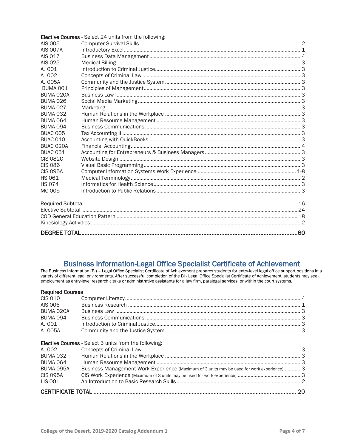|                 | Elective Courses - Select 24 units from the following: |  |  |
|-----------------|--------------------------------------------------------|--|--|
| AIS 005         |                                                        |  |  |
| <b>AIS 007A</b> |                                                        |  |  |
| AIS 017         |                                                        |  |  |
| AIS 025         |                                                        |  |  |
| AJ 001          |                                                        |  |  |
| AJ 002          |                                                        |  |  |
| AJ 005A         |                                                        |  |  |
| BUMA 001        |                                                        |  |  |
| BUMA 020A       |                                                        |  |  |
| BUMA 026        |                                                        |  |  |
| <b>BUMA 027</b> |                                                        |  |  |
| <b>BUMA 032</b> |                                                        |  |  |
| <b>BUMA 064</b> |                                                        |  |  |
| <b>BUMA 094</b> |                                                        |  |  |
| <b>BUAC 005</b> |                                                        |  |  |
| <b>BUAC 010</b> |                                                        |  |  |
| BUAC 020A       |                                                        |  |  |
| <b>BUAC 051</b> |                                                        |  |  |
| <b>CIS 082C</b> |                                                        |  |  |
| <b>CIS 086</b>  |                                                        |  |  |
| <b>CIS 095A</b> |                                                        |  |  |
| <b>HS 061</b>   |                                                        |  |  |
| <b>HS 074</b>   |                                                        |  |  |
| MC 005          |                                                        |  |  |
|                 |                                                        |  |  |
|                 |                                                        |  |  |
|                 |                                                        |  |  |
|                 |                                                        |  |  |
|                 |                                                        |  |  |
|                 |                                                        |  |  |

# Business Information-Legal Office Specialist Certificate of Achievement<br>The Business Information (BI) - Legal Office Specialist Certificate of Achievement prepares students for entry-level legal office support positions in

variety of different legal environments. After successful completion of the BI - Legal Office Specialist Certificate of Achievement, students may seek<br>employment as entry-level research clerks or administrative assistants

| <b>Required Courses</b>                                      |                                                                                             |  |  |
|--------------------------------------------------------------|---------------------------------------------------------------------------------------------|--|--|
| CIS 010                                                      |                                                                                             |  |  |
| AIS 006                                                      |                                                                                             |  |  |
| BUMA 020A                                                    |                                                                                             |  |  |
| BUMA 094                                                     |                                                                                             |  |  |
| AJ 001                                                       |                                                                                             |  |  |
| AJ 005A                                                      |                                                                                             |  |  |
|                                                              |                                                                                             |  |  |
| <b>Elective Courses</b> - Select 3 units from the following: |                                                                                             |  |  |
| A1002                                                        |                                                                                             |  |  |
| <b>BUMA 032</b>                                              |                                                                                             |  |  |
| <b>BUMA 064</b>                                              |                                                                                             |  |  |
| BUMA 095A                                                    | Business Management Work Experience (Maximum of 3 units may be used for work experience)  3 |  |  |
| <b>CIS 095A</b>                                              |                                                                                             |  |  |
| LIS 001                                                      |                                                                                             |  |  |
|                                                              |                                                                                             |  |  |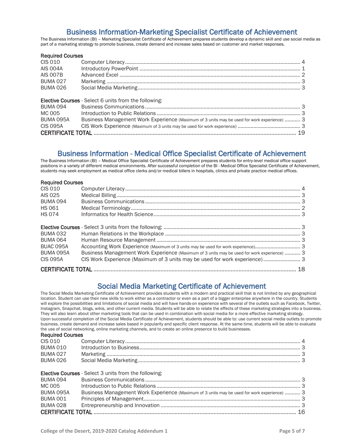### Business Information-Marketing Specialist Certificate of Achievement<br>The Business Information (BI) – Marketing Specialist Certificate of Achievement prepares students develop a dynamic skill and use social media as

part of a marketing strategy to promote business, create demand and increase sales based on customer and market responses.

### Required Courses<br>CIS 010 ( CIS 010 Computer Literacy........................................................................................................................... 4 AIS 004A Introductory PowerPoint ................................................................................................................. 1 AIS 007B Advanced Excel ............................................................................................................................... 2 BUMA 027 Marketing ........................................................................................................................................ 3 BUMA 026 Social Media Marketing .................................................................................................................. 3 Elective Courses - Select 6 units from the following: BUMA 094 Business Communications ............................................................................................................. 3 MC 005 Introduction to Public Relations ..................................................................................................... 3 BUMA 095A Business Management Work Experience (Maximum of 3 units may be used for work experience) ........... 3 CIS 095A CIS Work Experience (Maximum of 3 units may be used for work experience) ............................................ 3 CERTIFICATE TOTAL .................................................................................................................................. 19

## Business Information - Medical Office Specialist Certificate of Achievement<br>The Business Information (BI) – Medical Office Specialist Certificate of Achievement prepares students for entry-level medical office support

positions in a variety of different medical environments. After successful completion of the BI - Medical Office Specialist Certificate of Achievement, students may seek employment as medical office clerks and/or medical billers in hospitals, clinics and private practice medical offices.

### Required Courses

| CIS 010<br>AIS 025 |                                                                                             |  |
|--------------------|---------------------------------------------------------------------------------------------|--|
| <b>BUMA 094</b>    |                                                                                             |  |
| <b>HS 061</b>      |                                                                                             |  |
| <b>HS 074</b>      |                                                                                             |  |
|                    |                                                                                             |  |
| BUMA 032           |                                                                                             |  |
| BUMA 064           |                                                                                             |  |
| BUAC 095A          | Accounting Work Experience (Maximum of 3 units may be used for work experience) 3           |  |
| BUMA 095A          | Business Management Work Experience (Maximum of 3 units may be used for work experience)  3 |  |
| <b>CIS 095A</b>    | CIS Work Experience (Maximum of 3 units may be used for work experience) 3                  |  |
|                    |                                                                                             |  |

### Social Media Marketing Certificate of Achievement<br>The Social Media Marketing Certificate of Achievement provides students with a modern and practical skill that is not limited by any geographical

location. Student can use their new skills to work either as a contractor or even as a part of a bigger enterprise anywhere in the country. Students will explore the possibilities and limitations of social media and will have hands-on experience with several of the outlets such as Facebook, Twitter, Instagram, Snapchat, blogs, wikis, and other current media. Students will be able to relate the effects of these marketing strategies into a business. They will also learn about other marketing tools that can be used in combination with social media for a more effective marketing strategy. Upon successful completion of the Social Media Certificate of Achievement, students should be able to: use current social media outlets to promote business, create demand and increase sales based in popularity and specific client response. At the same time, students will be able to evaluate the use of social networking, online marketing channels, and to create an online presence to build businesses.

| <b>Required Courses</b>                                   |                                                                                                                                                             |  |  |
|-----------------------------------------------------------|-------------------------------------------------------------------------------------------------------------------------------------------------------------|--|--|
| CIS 010                                                   |                                                                                                                                                             |  |  |
| <b>BUMA 010</b>                                           |                                                                                                                                                             |  |  |
| <b>BUMA 027</b>                                           |                                                                                                                                                             |  |  |
| <b>BUMA 026</b>                                           |                                                                                                                                                             |  |  |
| <b>BUMA 094</b><br>MC 005<br>BUMA 095A<br><b>BUMA 001</b> | <b>Elective Courses</b> - Select 3 units from the following:<br>Business Management Work Experience (Maximum of 3 units may be used for work experience)  3 |  |  |
| <b>BUMA 028</b>                                           |                                                                                                                                                             |  |  |
|                                                           |                                                                                                                                                             |  |  |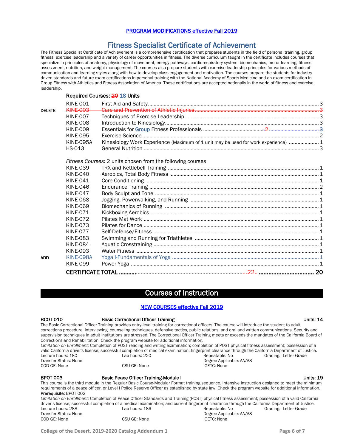### PROGRAM MODIFICATIONS effective Fall 2019

### Fitness Specialist Certificate of Achievement<br>The Fitness Specialist Certificate of Achievement is a comprehensive certification that prepares students in the field of personal training, group

fitness, exercise leadership and a variety of career opportunities in fitness. The diverse curriculum taught in the certificate includes courses that specialize in principles of anatomy, physiology of movement, energy pathways, cardiorespiratory system, biomechanics, motor learning, fitness assessment, nutrition, and weight management. The courses also prepare students with exercise leadership principles for various methods of communication and learning styles along with how to develop class engagement and motivation. The courses prepare the students for industry driven standards and future exam certifications in personal training with the National Academy of Sports Medicine and an exam certification in Group Fitness with Athletics and Fitness Association of America. These certifications are accepted nationally in the world of fitness and exercise leadership.

### Required Courses: 20 18 Units

|               | <b>KINE-001</b>  |                                                                                    |  |
|---------------|------------------|------------------------------------------------------------------------------------|--|
| <b>DELETE</b> | KINE 003         |                                                                                    |  |
|               | <b>KINE-007</b>  |                                                                                    |  |
|               | <b>KINE-008</b>  |                                                                                    |  |
|               | <b>KINE-009</b>  |                                                                                    |  |
|               | <b>KINE-095</b>  |                                                                                    |  |
|               | <b>KINE-095A</b> | Kinesiology Work Experience (Maximum of 1 unit may be used for work experience)  1 |  |
|               | <b>HS-013</b>    |                                                                                    |  |
|               |                  | Fitness Courses: 2 units chosen from the following courses                         |  |
|               | <b>KINE-039</b>  |                                                                                    |  |
|               | <b>KINE-040</b>  |                                                                                    |  |
|               | <b>KINE-041</b>  |                                                                                    |  |
|               | <b>KINE-046</b>  |                                                                                    |  |
|               | <b>KINE-047</b>  |                                                                                    |  |
|               | <b>KINE-068</b>  |                                                                                    |  |
|               | <b>KINE-069</b>  |                                                                                    |  |
|               | KINE-071         |                                                                                    |  |
|               | <b>KINE-072</b>  |                                                                                    |  |
|               | <b>KINE-073</b>  |                                                                                    |  |
|               | <b>KINE-077</b>  |                                                                                    |  |
|               | <b>KINE-083</b>  |                                                                                    |  |
|               | <b>KINE-084</b>  |                                                                                    |  |
|               | <b>KINE-093</b>  |                                                                                    |  |
| <b>ADD</b>    | <b>KINE-098A</b> |                                                                                    |  |
|               | <b>KINE-099</b>  |                                                                                    |  |
|               |                  |                                                                                    |  |

### Courses of Instruction

### NEW COURSES effective Fall 2019

| <b>BCOT 010</b>                                                                                                                                 | <b>Basic Correctional Officer Training</b>                                                                                                         |                                                                                                                                                       | Units: 14             |  |  |
|-------------------------------------------------------------------------------------------------------------------------------------------------|----------------------------------------------------------------------------------------------------------------------------------------------------|-------------------------------------------------------------------------------------------------------------------------------------------------------|-----------------------|--|--|
| The Basic Correctional Officer Training provides entry-level training for correctional officers. The course will introduce the student to adult |                                                                                                                                                    |                                                                                                                                                       |                       |  |  |
|                                                                                                                                                 | corrections procedure, interviewing, counseling techniques, defensive tactics, public relations, and oral and written communications. Security and |                                                                                                                                                       |                       |  |  |
|                                                                                                                                                 |                                                                                                                                                    | supervision techniques in adult institutions are stressed. The Correctional Officer Training meets or exceeds the mandates of the California Board of |                       |  |  |
|                                                                                                                                                 | Corrections and Rehabilitation. Check the program website for additional information.                                                              |                                                                                                                                                       |                       |  |  |
| Limitation on Enrollment: Completion of POST reading and writing examination; completion of POST physical fitness assessment; possession of a   |                                                                                                                                                    |                                                                                                                                                       |                       |  |  |
|                                                                                                                                                 |                                                                                                                                                    | valid California driver's license; successful completion of medical examination; fingerprint clearance through the California Department of Justice.  |                       |  |  |
| Lecture hours: 180                                                                                                                              | Lab hours: 220                                                                                                                                     | Repeatable: No                                                                                                                                        | Grading: Letter Grade |  |  |
| Transfer Status: None                                                                                                                           |                                                                                                                                                    | Degree Applicable: AA/AS                                                                                                                              |                       |  |  |
| COD GE: None                                                                                                                                    | CSU GE: None                                                                                                                                       | IGETC: None                                                                                                                                           |                       |  |  |
|                                                                                                                                                 |                                                                                                                                                    |                                                                                                                                                       |                       |  |  |
| <b>BPOT 003</b>                                                                                                                                 | <b>Basic Peace Officer Training-Module I</b>                                                                                                       |                                                                                                                                                       | Units: 19             |  |  |

This course is the third module in the Regular Basic Course-Modular Format training sequence. Intensive instruction designed to meet the minimum requirements of a peace officer, or Level I Police Reserve Officer as established by state law. Check the program website for additional information. Prerequisite: BPOT 002

*Limitation on Enrollment:* Completion of Peace Officer Standards and Training (POST) physical fitness assessment; possession of a valid California driver's license; successful completion of a medical examination; and current fingerprint clearance through the California Department of Justice.<br>Letter Grading: Letter Grade<br>Crading: Letter Grade Lecture hours: 288 Lab hours: 186 Connection Repeatable: No Grading: Letter Grade<br>
Transfer Status: None Connection Cab hours: 186 Connection Cherce Applicable: AA/AS Transfer Status: None CSU GE: None Degree Applicable: AA/AS<br>
COD GE: None CSU GE: None CSU GE: None IGETC: None CSU GE: None